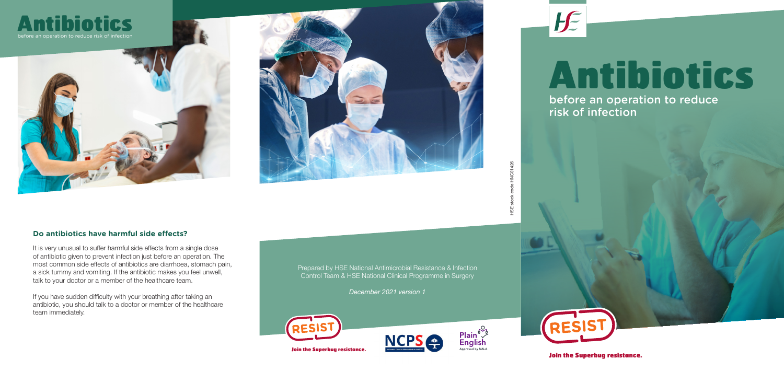Join the Superbug resistance.

## Antibiotics before an operation to reduce risk of infection

Join the Superbug resistance.

HSE stock code HNC01426

## **Do antibiotics have harmful side effects?**

It is very unusual to suffer harmful side effects from a single dose of antibiotic given to prevent infection just before an operation. The most common side effects of antibiotics are diarrhoea, stomach pain, a sick tummy and vomiting. If the antibiotic makes you feel unwell, talk to your doctor or a member of the healthcare team.

If you have sudden difficulty with your breathing after taking an antibiotic, you should talk to a doctor or member of the healthcare team immediately.

Prepared by HSE National Antimicrobial Resistance & Infection Control Team & HSE National Clinical Programme in Surgery

*December 2021 version 1*